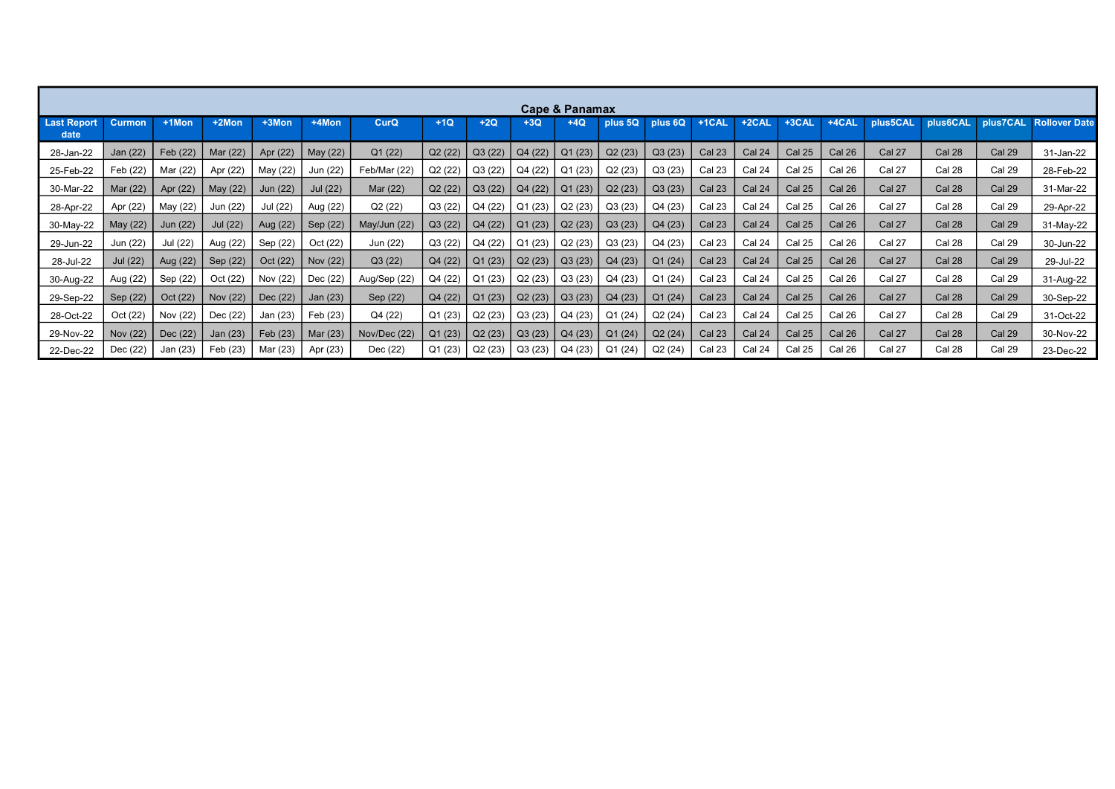|                            | Cape & Panamax  |          |          |          |          |              |         |         |         |         |         |         |                   |               |               |          |               |               |               |                      |
|----------------------------|-----------------|----------|----------|----------|----------|--------------|---------|---------|---------|---------|---------|---------|-------------------|---------------|---------------|----------|---------------|---------------|---------------|----------------------|
| <b>Last Report</b><br>date | <b>Curmon</b>   | $+1$ Mon | $+2$ Mon | $+3$ Mon | +4Mon    | CurQ         | $+1Q$   | $+2Q$   | $+3Q$   | $+4Q$   | plus 5Q | plus 6Q | +1CAL             | $+2$ CAL      | +3CAL         | $+4$ CAL | plus5CAL      | plus6CAL      | plus7CAL      | <b>Rollover Date</b> |
| 28-Jan-22                  | Jan (22)        | Feb (22) | Mar (22) | Apr (22) | May (22) | Q1(22)       | Q2(22)  | Q3(22)  | Q4 (22) | Q1(23)  | Q2(23)  | Q3(23)  | Cal <sub>23</sub> | Cal 24        | <b>Cal 25</b> | Cal 26   | Cal 27        | <b>Cal 28</b> | <b>Cal 29</b> | 31-Jan-22            |
| 25-Feb-22                  | Feb (22)        | Mar (22) | Apr (22) | May (22) | Jun (22) | Feb/Mar (22) | Q2 (22) | Q3(22)  | Q4 (22) | Q1(23)  | Q2(23)  | Q3(23)  | Cal 23            | Cal 24        | Cal 25        | Cal 26   | Cal 27        | Cal 28        | <b>Cal 29</b> | 28-Feb-22            |
| 30-Mar-22                  | Mar (22)        | Apr (22) | May (22) | Jun (22) | Jul (22) | Mar (22)     | Q2 (22) | Q3(22)  | Q4(22)  | Q1(23)  | Q2(23)  | Q3(23)  | <b>Cal 23</b>     | Cal 24        | <b>Cal 25</b> | Cal 26   | Cal 27        | <b>Cal 28</b> | <b>Cal 29</b> | 31-Mar-22            |
| 28-Apr-22                  | Apr (22)        | May (22) | Jun (22) | Jul (22) | Aug (22) | Q2(22)       | Q3 (22) | Q4 (22) | Q1(23)  | Q2(23)  | Q3(23)  | Q4 (23) | Cal 23            | Cal 24        | <b>Cal 25</b> | Cal 26   | Cal 27        | Cal 28        | Cal 29        | 29-Apr-22            |
| 30-May-22                  | May (22)        | Jun (22) | Jul (22) | Aug (22) | Sep (22) | May/Jun (22) | Q3(22)  | Q4 (22) | Q1(23)  | Q2(23)  | Q3(23)  | Q4 (23) | <b>Cal 23</b>     | <b>Cal 24</b> | <b>Cal 25</b> | Cal 26   | Cal 27        | Cal 28        | <b>Cal 29</b> | 31-May-22            |
| 29-Jun-22                  | Jun (22)        | Jul (22) | Aug (22) | Sep (22) | Oct (22) | Jun (22)     | Q3 (22) | Q4 (22) | Q1(23)  | Q2(23)  | Q3(23)  | Q4 (23) | Cal 23            | Cal 24        | <b>Cal 25</b> | Cal 26   | Cal 27        | Cal 28        | Cal 29        | 30-Jun-22            |
| 28-Jul-22                  | <b>Jul</b> (22) | Aug (22) | Sep (22) | Oct (22) | Nov (22) | Q3(22)       | Q4 (22) | Q1(23)  | Q2(23)  | Q3(23)  | Q4 (23) | Q1(24)  | <b>Cal 23</b>     | Cal 24        | <b>Cal 25</b> | Cal 26   | Cal 27        | <b>Cal 28</b> | <b>Cal 29</b> | 29-Jul-22            |
| 30-Aug-22                  | Aug (22)        | Sep (22) | Oct (22) | Nov (22) | Dec (22) | Aug/Sep (22) | Q4 (22) | Q1(23)  | Q2(23)  | Q3(23)  | Q4 (23) | Q1 (24) | <b>Cal 23</b>     | Cal 24        | Cal 25        | Cal 26   | Cal 27        | Cal 28        | <b>Cal 29</b> | 31-Aug-22            |
| 29-Sep-22                  | Sep (22)        | Oct (22) | Nov (22) | Dec (22) | Jan (23) | Sep (22)     | Q4 (22) | Q1(23)  | Q2(23)  | Q3(23)  | Q4 (23) | Q1(24)  | <b>Cal 23</b>     | Cal 24        | <b>Cal 25</b> | Cal 26   | <b>Cal 27</b> | <b>Cal 28</b> | <b>Cal 29</b> | 30-Sep-22            |
| 28-Oct-22                  | Oct (22)        | Nov (22) | Dec (22) | Jan (23) | Feb (23) | Q4 (22)      | Q1(23)  | Q2(23)  | Q3(23)  | Q4 (23) | Q1 (24) | Q2(24)  | <b>Cal 23</b>     | Cal 24        | <b>Cal 25</b> | Cal 26   | Cal 27        | Cal 28        | <b>Cal 29</b> | 31-Oct-22            |
| 29-Nov-22                  | Nov (22)        | Dec (22) | Jan (23) | Feb (23) | Mar (23) | Nov/Dec (22) | Q1(23)  | Q2(23)  | Q3(23)  | Q4(23)  | Q1(24)  | Q2(24)  | <b>Cal 23</b>     | <b>Cal 24</b> | <b>Cal 25</b> | Cal 26   | Cal 27        | Cal 28        | <b>Cal 29</b> | 30-Nov-22            |
| 22-Dec-22                  | Dec (22)        | Jan (23) | Feb (23) | Mar (23) | Apr (23) | Dec (22)     | Q1 (23) | Q2(23)  | Q3(23)  | Q4 (23) | Q1 (24) | Q2(24)  | Cal 23            | Cal 24        | Cal 25        | Cal 26   | Cal 27        | Cal 28        | Cal 29        | 23-Dec-22            |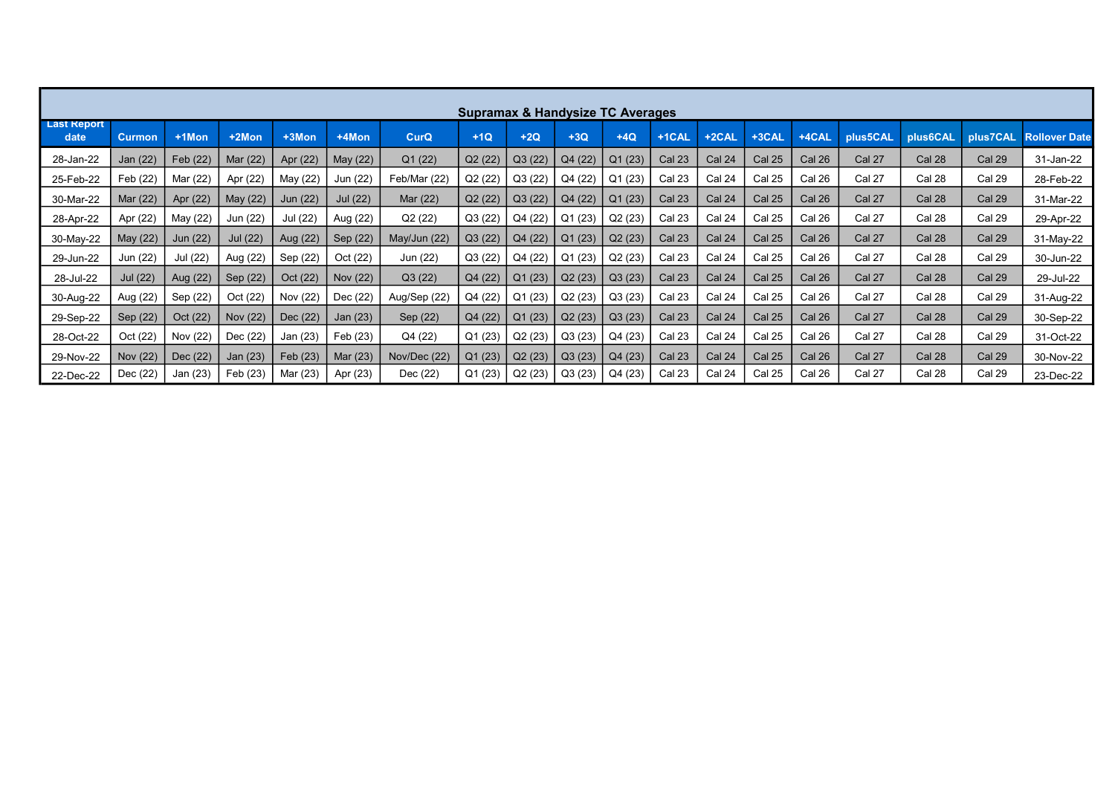|                            | <b>Supramax &amp; Handysize TC Averages</b> |          |          |          |          |              |         |         |         |         |                   |               |               |        |               |          |               |                      |
|----------------------------|---------------------------------------------|----------|----------|----------|----------|--------------|---------|---------|---------|---------|-------------------|---------------|---------------|--------|---------------|----------|---------------|----------------------|
| <b>Last Report</b><br>date | <b>Curmon</b>                               | $+1$ Mon | +2Mon    | +3Mon    | +4Mon    | <b>CurQ</b>  | $+1Q$   | $+2Q$   | $+3Q$   | $+4Q$   | +1CAL             | +2CAL         | +3CAL         | +4CAL  | plus5CAL      | plus6CAL | plus7CAL      | <b>Rollover Date</b> |
| 28-Jan-22                  | Jan (22)                                    | Feb (22) | Mar (22) | Apr (22) | May (22) | Q1 (22)      | Q2 (22) | Q3(22)  | Q4(22)  | Q1(23)  | Cal <sub>23</sub> | <b>Cal 24</b> | <b>Cal 25</b> | Cal 26 | Cal 27        | Cal 28   | <b>Cal 29</b> | 31-Jan-22            |
| 25-Feb-22                  | Feb (22)                                    | Mar (22) | Apr (22) | May (22) | Jun (22) | Feb/Mar (22) | Q2 (22) | Q3(22)  | Q4 (22) | Q1 (23) | Cal 23            | Cal 24        | <b>Cal 25</b> | Cal 26 | Cal 27        | Cal 28   | Cal 29        | 28-Feb-22            |
| 30-Mar-22                  | Mar (22)                                    | Apr (22) | May (22) | Jun (22) | Jul (22) | Mar (22)     | Q2 (22) | Q3(22)  | Q4(22)  | Q1(23)  | <b>Cal 23</b>     | <b>Cal 24</b> | <b>Cal 25</b> | Cal 26 | Cal 27        | Cal 28   | <b>Cal 29</b> | 31-Mar-22            |
| 28-Apr-22                  | Apr (22)                                    | May (22) | Jun (22) | Jul (22) | Aug (22) | Q2 (22)      | Q3(22)  | Q4 (22) | Q1 (23) | Q2(23)  | Cal <sub>23</sub> | Cal 24        | <b>Cal 25</b> | Cal 26 | Cal 27        | Cal 28   | Cal 29        | 29-Apr-22            |
| 30-May-22                  | May (22)                                    | Jun (22) | Jul (22) | Aug (22) | Sep (22) | May/Jun (22) | Q3(22)  | Q4 (22) | Q1(23)  | Q2(23)  | Cal <sub>23</sub> | <b>Cal 24</b> | <b>Cal 25</b> | Cal 26 | Cal 27        | Cal 28   | Cal 29        | 31-May-22            |
| 29-Jun-22                  | Jun (22)                                    | Jul (22) | Aug (22) | Sep (22) | Oct (22) | Jun (22)     | Q3(22)  | Q4 (22) | Q1(23)  | Q2(23)  | Cal 23            | Cal 24        | <b>Cal 25</b> | Cal 26 | Cal 27        | Cal 28   | Cal 29        | 30-Jun-22            |
| 28-Jul-22                  | Jul (22)                                    | Aug (22) | Sep (22) | Oct (22) | Nov (22) | Q3(22)       | Q4(22)  | Q1(23)  | Q2(23)  | Q3(23)  | Cal <sub>23</sub> | <b>Cal 24</b> | <b>Cal 25</b> | Cal 26 | Cal 27        | Cal 28   | Cal 29        | 29-Jul-22            |
| 30-Aug-22                  | Aug (22)                                    | Sep (22) | Oct (22) | Nov (22) | Dec (22) | Aug/Sep (22) | Q4 (22) | Q1(23)  | Q2(23)  | Q3(23)  | Cal 23            | Cal 24        | <b>Cal 25</b> | Cal 26 | Cal 27        | Cal 28   | Cal 29        | 31-Aug-22            |
| 29-Sep-22                  | Sep (22)                                    | Oct (22) | Nov (22) | Dec (22) | Jan (23) | Sep (22)     | Q4 (22) | Q1(23)  | Q2(23)  | Q3(23)  | Cal <sub>23</sub> | <b>Cal 24</b> | <b>Cal 25</b> | Cal 26 | Cal 27        | Cal 28   | Cal 29        | 30-Sep-22            |
| 28-Oct-22                  | Oct (22)                                    | Nov (22) | Dec (22) | Jan (23) | Feb (23) | Q4 (22)      | Q1(23)  | Q2(23)  | Q3(23)  | Q4(23)  | Cal 23            | Cal 24        | <b>Cal 25</b> | Cal 26 | Cal 27        | Cal 28   | Cal 29        | 31-Oct-22            |
| 29-Nov-22                  | Nov (22)                                    | Dec (22) | Jan (23) | Feb (23) | Mar (23) | Nov/Dec (22) | Q1(23)  | Q2(23)  | Q3(23)  | Q4(23)  | <b>Cal 23</b>     | <b>Cal 24</b> | <b>Cal 25</b> | Cal 26 | <b>Cal 27</b> | Cal 28   | <b>Cal 29</b> | 30-Nov-22            |
| 22-Dec-22                  | Dec (22)                                    | Jan (23) | Feb (23) | Mar (23) | Apr (23) | Dec (22)     | Q1(23)  | Q2(23)  | Q3(23)  | Q4(23)  | <b>Cal 23</b>     | Cal 24        | Cal 25        | Cal 26 | Cal 27        | Cal 28   | Cal 29        | 23-Dec-22            |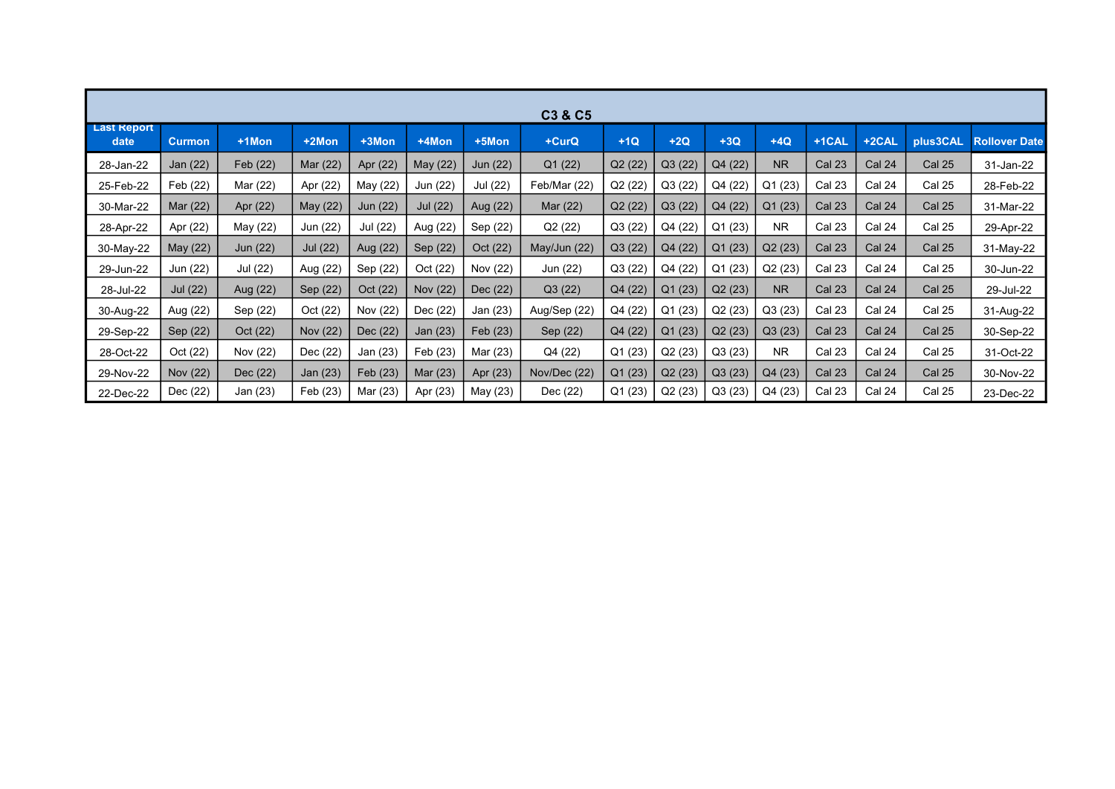|                            | C3 & C5         |          |          |          |          |          |              |         |         |         |                |                   |        |               |                      |
|----------------------------|-----------------|----------|----------|----------|----------|----------|--------------|---------|---------|---------|----------------|-------------------|--------|---------------|----------------------|
| <b>Last Report</b><br>date | <b>Curmon</b>   | $+1$ Mon | +2Mon    | +3Mon    | +4Mon    | +5Mon    | +CurQ        | $+1Q$   | $+2Q$   | $+3Q$   | $+4Q$          | +1CAL             | +2CAL  | plus3CAL      | <b>Rollover Date</b> |
| 28-Jan-22                  | Jan (22)        | Feb (22) | Mar (22) | Apr (22) | May (22) | Jun (22) | Q1(22)       | Q2(22)  | Q3(22)  | Q4 (22) | N <sub>R</sub> | <b>Cal 23</b>     | Cal 24 | <b>Cal 25</b> | 31-Jan-22            |
| 25-Feb-22                  | Feb (22)        | Mar (22) | Apr (22) | May (22) | Jun (22) | Jul (22) | Feb/Mar (22) | Q2(22)  | Q3(22)  | Q4 (22) | Q1(23)         | Cal 23            | Cal 24 | Cal 25        | 28-Feb-22            |
| 30-Mar-22                  | Mar (22)        | Apr (22) | May (22) | Jun (22) | Jul (22) | Aug (22) | Mar (22)     | Q2(22)  | Q3 (22) | Q4 (22) | Q1(23)         | <b>Cal 23</b>     | Cal 24 | <b>Cal 25</b> | 31-Mar-22            |
| 28-Apr-22                  | Apr (22)        | May (22) | Jun (22) | Jul (22) | Aug (22) | Sep (22) | Q2(22)       | Q3(22)  | Q4 (22) | Q1(23)  | <b>NR</b>      | Cal 23            | Cal 24 | Cal 25        | 29-Apr-22            |
| 30-May-22                  | May (22)        | Jun (22) | Jul (22) | Aug (22) | Sep (22) | Oct (22) | May/Jun (22) | Q3(22)  | Q4 (22) | Q1 (23) | Q2(23)         | <b>Cal 23</b>     | Cal 24 | <b>Cal 25</b> | 31-May-22            |
| 29-Jun-22                  | Jun (22)        | Jul (22) | Aug (22) | Sep (22) | Oct (22) | Nov (22) | Jun (22)     | Q3(22)  | Q4 (22) | Q1(23)  | Q2(23)         | Cal 23            | Cal 24 | Cal 25        | 30-Jun-22            |
| 28-Jul-22                  | <b>Jul</b> (22) | Aug (22) | Sep (22) | Oct (22) | Nov (22) | Dec (22) | Q3(22)       | Q4 (22) | Q1(23)  | Q2(23)  | N <sub>R</sub> | Cal 23            | Cal 24 | <b>Cal 25</b> | 29-Jul-22            |
| 30-Aug-22                  | Aug (22)        | Sep (22) | Oct (22) | Nov (22) | Dec (22) | Jan (23) | Aug/Sep (22) | Q4 (22) | Q1(23)  | Q2(23)  | Q3(23)         | Cal <sub>23</sub> | Cal 24 | Cal 25        | 31-Aug-22            |
| 29-Sep-22                  | Sep (22)        | Oct (22) | Nov (22) | Dec (22) | Jan (23) | Feb (23) | Sep (22)     | Q4 (22) | Q1(23)  | Q2(23)  | Q3(23)         | <b>Cal 23</b>     | Cal 24 | <b>Cal 25</b> | 30-Sep-22            |
| 28-Oct-22                  | Oct (22)        | Nov (22) | Dec (22) | Jan (23) | Feb (23) | Mar (23) | Q4 (22)      | Q1(23)  | Q2 (23) | Q3(23)  | <b>NR</b>      | <b>Cal 23</b>     | Cal 24 | Cal 25        | 31-Oct-22            |
| 29-Nov-22                  | Nov (22)        | Dec (22) | Jan (23) | Feb (23) | Mar (23) | Apr (23) | Nov/Dec (22) | Q1(23)  | Q2(23)  | Q3(23)  | Q4 (23)        | <b>Cal 23</b>     | Cal 24 | <b>Cal 25</b> | 30-Nov-22            |
| 22-Dec-22                  | Dec (22)        | Jan (23) | Feb (23) | Mar (23) | Apr (23) | May (23) | Dec (22)     | Q1(23)  | Q2(23)  | Q3(23)  | Q4 (23)        | Cal 23            | Cal 24 | <b>Cal 25</b> | 23-Dec-22            |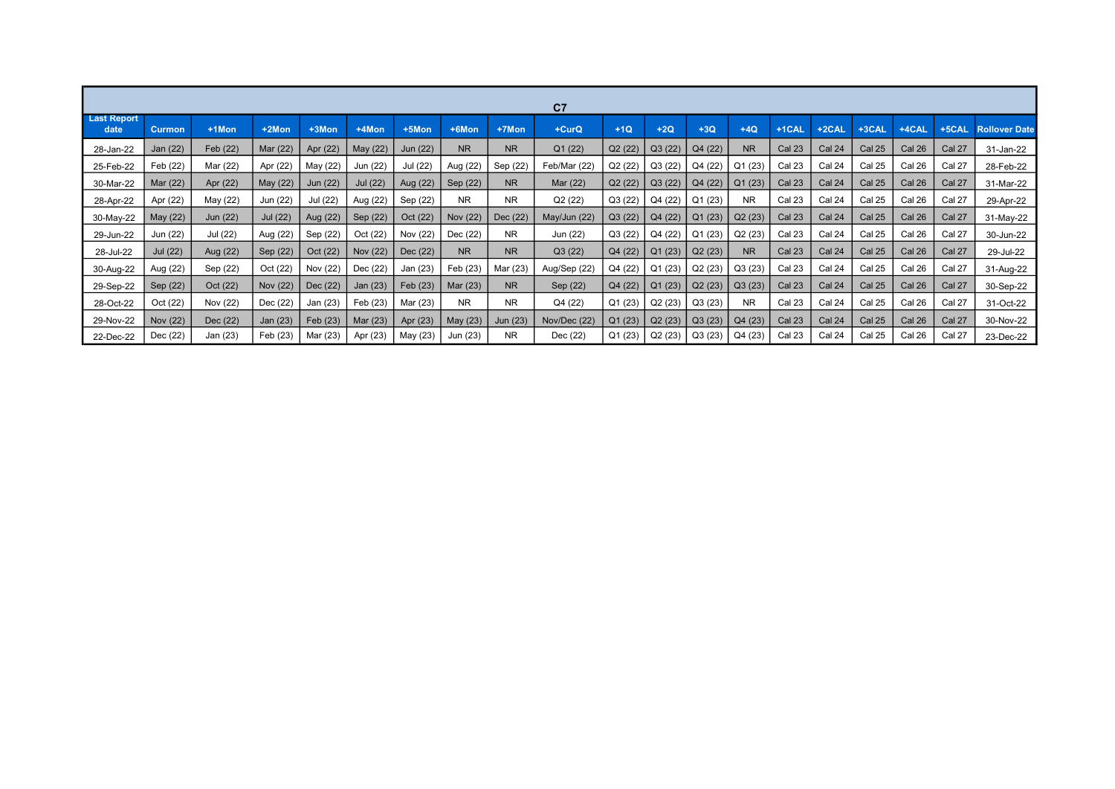|                            | C <sub>7</sub> |          |          |          |          |          |           |                |              |         |         |         |           |                   |               |               |               |          |                      |
|----------------------------|----------------|----------|----------|----------|----------|----------|-----------|----------------|--------------|---------|---------|---------|-----------|-------------------|---------------|---------------|---------------|----------|----------------------|
| <b>Last Report</b><br>date | <b>Curmon</b>  | +1Mon    | +2Mon    | +3Mon    | +4Mon    | +5Mon    | +6Mon     | +7Mon          | +CurQ        | $+1Q$   | $+2Q$   | $+3Q$   | $+4Q$     | +1CAL             | +2CAL         | $+3$ CAL      | +4CAL         | $+5$ CAL | <b>Rollover Date</b> |
| 28-Jan-22                  | Jan (22)       | Feb (22) | Mar (22) | Apr (22) | May (22) | Jun (22) | <b>NR</b> | <b>NR</b>      | Q1(22)       | Q2(22)  | Q3(22)  | Q4 (22) | <b>NR</b> | <b>Cal 23</b>     | Cal 24        | <b>Cal 25</b> | Cal 26        | Cal 27   | 31-Jan-22            |
| 25-Feb-22                  | Feb (22)       | Mar (22) | Apr (22) | May (22) | Jun (22) | Jul (22) | Aug (22)  | Sep (22)       | Feb/Mar (22) | Q2(22)  | Q3(22)  | Q4 (22) | Q1 (23)   | Cal <sub>23</sub> | Cal 24        | Cal 25        | Cal 26        | Cal 27   | 28-Feb-22            |
| 30-Mar-22                  | Mar (22)       | Apr (22) | May (22) | Jun (22) | Jul (22) | Aug (22) | Sep (22)  | <b>NR</b>      | Mar (22)     | Q2(22)  | Q3(22)  | Q4(22)  | Q1(23)    | <b>Cal 23</b>     | <b>Cal 24</b> | Cal 25        | <b>Cal 26</b> | Cal 27   | 31-Mar-22            |
| 28-Apr-22                  | Apr (22)       | May (22) | Jun (22) | Jul (22) | Aug (22) | Sep (22) | <b>NR</b> | <b>NR</b>      | Q2(22)       | Q3(22)  | Q4 (22) | Q1(23)  | <b>NR</b> | Cal <sub>23</sub> | Cal 24        | Cal 25        | Cal 26        | Cal 27   | 29-Apr-22            |
| 30-May-22                  | May (22)       | Jun (22) | Jul (22) | Aug (22) | Sep (22) | Oct (22) | Nov (22)  | Dec (22)       | May/Jun (22) | Q3(22)  | Q4 (22) | Q1(23)  | Q2(23)    | <b>Cal 23</b>     | Cal 24        | <b>Cal 25</b> | Cal 26        | Cal 27   | 31-May-22            |
| 29-Jun-22                  | Jun (22)       | Jul (22) | Aug (22) | Sep (22) | Oct (22) | Nov (22) | Dec (22)  | <b>NR</b>      | Jun (22)     | Q3(22)  | Q4 (22) | Q1(23)  | Q2(23)    | Cal 23            | Cal 24        | Cal 25        | Cal 26        | Cal 27   | 30-Jun-22            |
| 28-Jul-22                  | Jul (22)       | Aug (22) | Sep (22) | Oct (22) | Nov (22) | Dec (22) | <b>NR</b> | <b>NR</b>      | Q3(22)       | Q4 (22) | Q1(23)  | Q2(23)  | <b>NR</b> | <b>Cal 23</b>     | Cal 24        | Cal 25        | Cal 26        | Cal 27   | 29-Jul-22            |
| 30-Aug-22                  | Aug (22)       | Sep (22) | Oct (22) | Nov (22) | Dec (22) | Jan (23) | Feb (23)  | Mar (23)       | Aug/Sep (22) | Q4 (22) | Q1(23)  | Q2(23)  | Q3(23)    | Cal <sub>23</sub> | Cal 24        | Cal 25        | Cal 26        | Cal 27   | 31-Aug-22            |
| 29-Sep-22                  | Sep (22)       | Oct (22) | Nov (22) | Dec (22) | Jan (23) | Feb (23) | Mar (23)  | <b>NR</b>      | Sep (22)     | Q4 (22) | Q1(23)  | Q2(23)  | Q3(23)    | Cal <sub>23</sub> | Cal 24        | Cal 25        | Cal 26        | Cal 27   | 30-Sep-22            |
| 28-Oct-22                  | Oct (22)       | Nov (22) | Dec (22) | Jan (23) | Feb (23) | Mar (23) | <b>NR</b> | N <sub>R</sub> | Q4 (22)      | Q1(23)  | Q2(23)  | Q3(23)  | <b>NR</b> | Cal 23            | Cal 24        | <b>Cal 25</b> | Cal 26        | Cal 27   | 31-Oct-22            |
| 29-Nov-22                  | Nov (22)       | Dec (22) | Jan (23) | Feb (23) | Mar (23) | Apr (23) | May (23)  | Jun (23)       | Nov/Dec (22) | Q1(23)  | Q2(23)  | Q3(23)  | Q4(23)    | <b>Cal 23</b>     | Cal 24        | <b>Cal 25</b> | Cal 26        | Cal 27   | 30-Nov-22            |
| 22-Dec-22                  | Dec (22)       | Jan (23) | Feb (23) | Mar (23) | Apr (23) | May (23) | Jun (23)  | NR.            | Dec (22)     | Q1(23)  | Q2(23)  | Q3(23)  | Q4 (23)   | <b>Cal 23</b>     | Cal 24        | Cal 25        | Cal 26        | Cal 27   | 23-Dec-22            |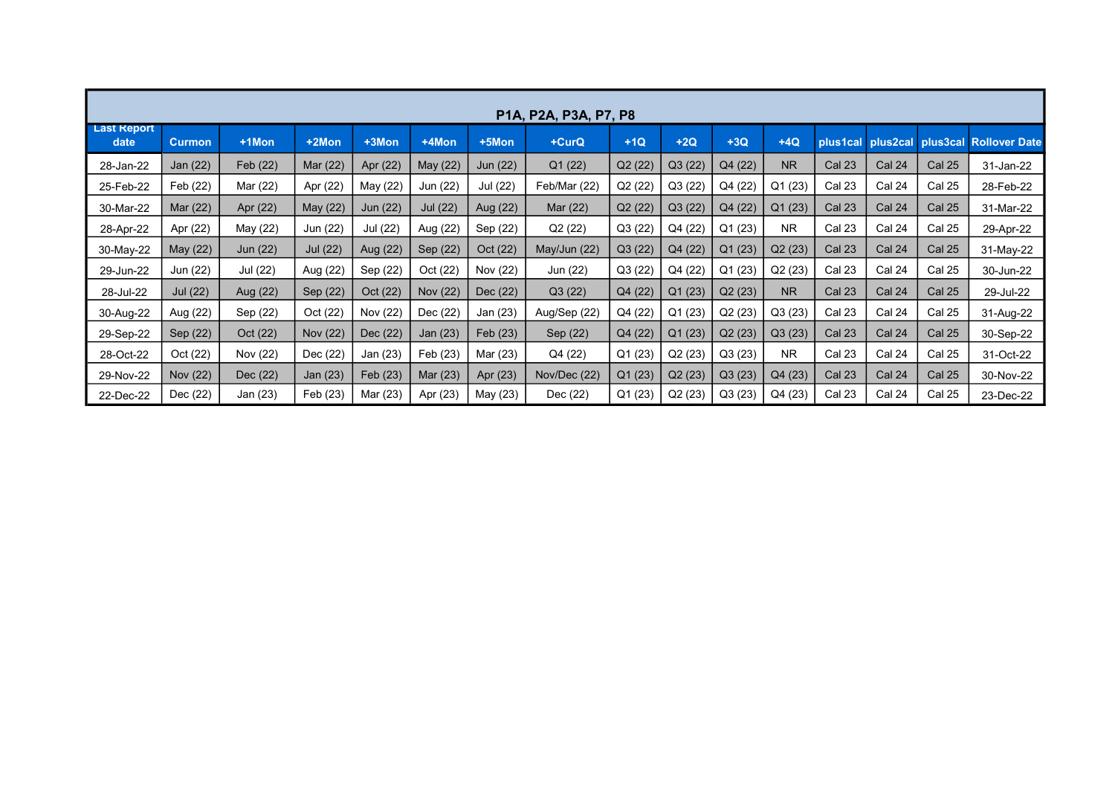|                            | P1A, P2A, P3A, P7, P8 |          |          |          |          |          |              |         |         |         |                     |                   |                            |               |                      |
|----------------------------|-----------------------|----------|----------|----------|----------|----------|--------------|---------|---------|---------|---------------------|-------------------|----------------------------|---------------|----------------------|
| <b>Last Report</b><br>date | <b>Curmon</b>         | +1Mon    | +2Mon    | +3Mon    | +4Mon    | +5Mon    | +CurQ        | $+1Q$   | $+2Q$   | $+3Q$   | $+4Q$               |                   | plus1cal plus2cal plus3cal |               | <b>Rollover Date</b> |
| 28-Jan-22                  | Jan (22)              | Feb (22) | Mar (22) | Apr (22) | May (22) | Jun (22) | Q1(22)       | Q2 (22) | Q3 (22) | Q4 (22) | <b>NR</b>           | <b>Cal 23</b>     | <b>Cal 24</b>              | <b>Cal 25</b> | 31-Jan-22            |
| 25-Feb-22                  | Feb (22)              | Mar (22) | Apr (22) | May (22) | Jun (22) | Jul (22) | Feb/Mar (22) | Q2 (22) | Q3(22)  | Q4 (22) | Q1(23)              | <b>Cal 23</b>     | Cal 24                     | <b>Cal 25</b> | 28-Feb-22            |
| 30-Mar-22                  | Mar (22)              | Apr (22) | May (22) | Jun (22) | Jul (22) | Aug (22) | Mar (22)     | Q2 (22) | Q3 (22) | Q4 (22) | Q1 (23)             | <b>Cal 23</b>     | Cal 24                     | Cal 25        | 31-Mar-22            |
| 28-Apr-22                  | Apr (22)              | May (22) | Jun (22) | Jul (22) | Aug (22) | Sep (22) | Q2 (22)      | Q3 (22) | Q4 (22) | Q1(23)  | <b>NR</b>           | <b>Cal 23</b>     | Cal 24                     | <b>Cal 25</b> | 29-Apr-22            |
| 30-May-22                  | May (22)              | Jun (22) | Jul (22) | Aug (22) | Sep (22) | Oct (22) | May/Jun (22) | Q3 (22) | Q4 (22) | Q1(23)  | Q2(23)              | Cal <sub>23</sub> | Cal 24                     | <b>Cal 25</b> | 31-May-22            |
| 29-Jun-22                  | Jun (22)              | Jul (22) | Aug (22) | Sep (22) | Oct (22) | Nov (22) | Jun (22)     | Q3 (22) | Q4 (22) | Q1 (23) | Q <sub>2</sub> (23) | <b>Cal 23</b>     | Cal 24                     | Cal 25        | 30-Jun-22            |
| 28-Jul-22                  | <b>Jul (22)</b>       | Aug (22) | Sep (22) | Oct (22) | Nov (22) | Dec (22) | Q3(22)       | Q4 (22) | Q1(23)  | Q2(23)  | <b>NR</b>           | <b>Cal 23</b>     | Cal 24                     | <b>Cal 25</b> | 29-Jul-22            |
| 30-Aug-22                  | Aug (22)              | Sep (22) | Oct (22) | Nov (22) | Dec (22) | Jan (23) | Aug/Sep (22) | Q4 (22) | Q1(23)  | Q2(23)  | Q3(23)              | <b>Cal 23</b>     | Cal 24                     | Cal 25        | 31-Aug-22            |
| 29-Sep-22                  | Sep (22)              | Oct (22) | Nov (22) | Dec (22) | Jan (23) | Feb (23) | Sep (22)     | Q4 (22) | Q1(23)  | Q2(23)  | Q3(23)              | <b>Cal 23</b>     | <b>Cal 24</b>              | <b>Cal 25</b> | 30-Sep-22            |
| 28-Oct-22                  | Oct (22)              | Nov (22) | Dec (22) | Jan (23) | Feb (23) | Mar (23) | Q4 (22)      | Q1(23)  | Q2(23)  | Q3(23)  | <b>NR</b>           | <b>Cal 23</b>     | Cal 24                     | <b>Cal 25</b> | 31-Oct-22            |
| 29-Nov-22                  | Nov (22)              | Dec (22) | Jan (23) | Feb (23) | Mar (23) | Apr (23) | Nov/Dec (22) | Q1 (23) | Q2(23)  | Q3(23)  | Q4 (23)             | <b>Cal 23</b>     | Cal 24                     | <b>Cal 25</b> | 30-Nov-22            |
| 22-Dec-22                  | Dec (22)              | Jan (23) | Feb (23) | Mar (23) | Apr (23) | May (23) | Dec (22)     | Q1 (23) | Q2(23)  | Q3(23)  | Q4 (23)             | <b>Cal 23</b>     | Cal 24                     | <b>Cal 25</b> | 23-Dec-22            |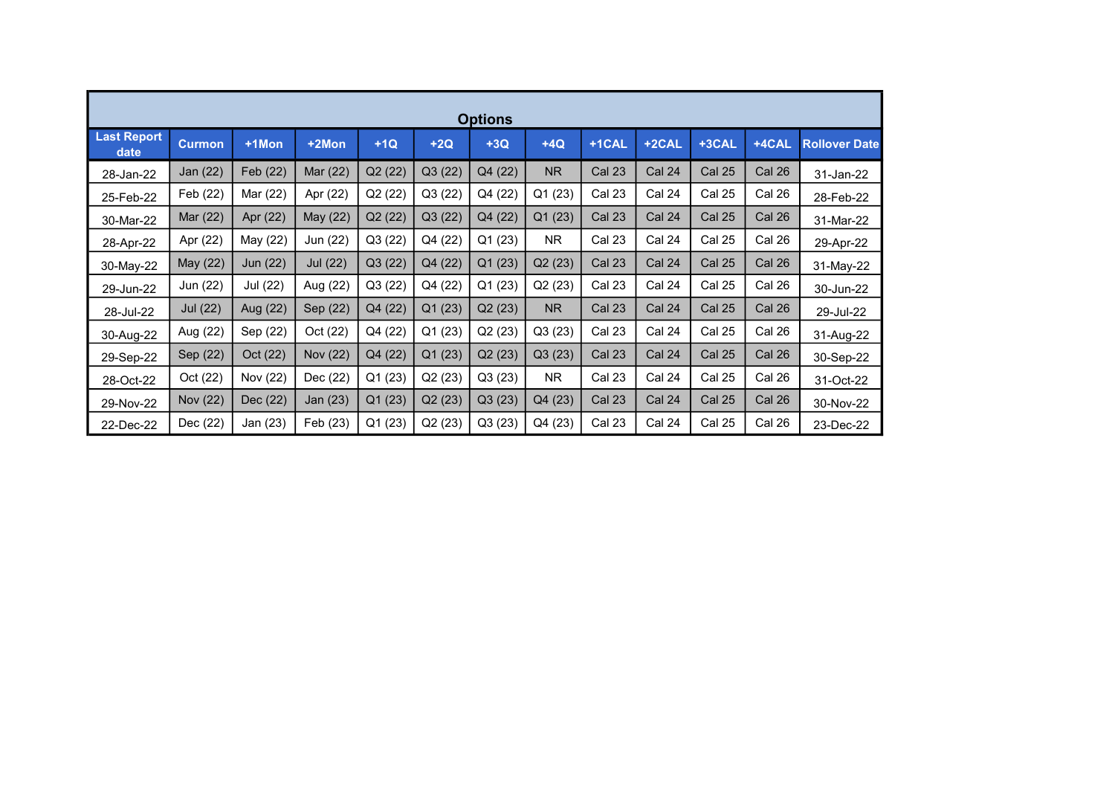| <b>Options</b>             |          |          |                 |         |         |         |           |               |               |               |               |                      |  |  |
|----------------------------|----------|----------|-----------------|---------|---------|---------|-----------|---------------|---------------|---------------|---------------|----------------------|--|--|
| <b>Last Report</b><br>date | Curmon   | +1Mon    | +2Mon           | $+1Q$   | $+2Q$   | $+3Q$   | $+4Q$     | +1CAL         | +2CAL         | +3CAL         | $+4$ CAL      | <b>Rollover Date</b> |  |  |
| 28-Jan-22                  | Jan (22) | Feb (22) | Mar (22)        | Q2(22)  | Q3 (22) | Q4 (22) | <b>NR</b> | <b>Cal 23</b> | <b>Cal 24</b> | <b>Cal 25</b> | <b>Cal 26</b> | 31-Jan-22            |  |  |
| 25-Feb-22                  | Feb (22) | Mar (22) | Apr (22)        | Q2(22)  | Q3 (22) | Q4 (22) | Q1 (23)   | <b>Cal 23</b> | Cal 24        | <b>Cal 25</b> | Cal 26        | 28-Feb-22            |  |  |
| 30-Mar-22                  | Mar (22) | Apr (22) | May (22)        | Q2(22)  | Q3(22)  | Q4 (22) | Q1(23)    | <b>Cal 23</b> | Cal 24        | <b>Cal 25</b> | Cal 26        | 31-Mar-22            |  |  |
| 28-Apr-22                  | Apr (22) | May (22) | Jun (22)        | Q3(22)  | Q4 (22) | Q1(23)  | <b>NR</b> | Cal 23        | Cal 24        | <b>Cal 25</b> | Cal 26        | 29-Apr-22            |  |  |
| 30-May-22                  | May (22) | Jun (22) | <b>Jul</b> (22) | Q3(22)  | Q4 (22) | Q1(23)  | Q2(23)    | <b>Cal 23</b> | Cal 24        | <b>Cal 25</b> | Cal 26        | 31-May-22            |  |  |
| 29-Jun-22                  | Jun (22) | Jul (22) | Aug (22)        | Q3(22)  | Q4 (22) | Q1(23)  | Q2(23)    | Cal 23        | Cal 24        | <b>Cal 25</b> | Cal 26        | 30-Jun-22            |  |  |
| 28-Jul-22                  | Jul (22) | Aug (22) | Sep (22)        | Q4 (22) | Q1(23)  | Q2(23)  | NR        | <b>Cal 23</b> | Cal 24        | Cal 25        | Cal 26        | 29-Jul-22            |  |  |
| 30-Aug-22                  | Aug (22) | Sep (22) | Oct (22)        | Q4 (22) | Q1 (23) | Q2(23)  | Q3 (23)   | Cal 23        | Cal 24        | Cal 25        | Cal 26        | 31-Aug-22            |  |  |
| 29-Sep-22                  | Sep (22) | Oct (22) | Nov (22)        | Q4 (22) | Q1(23)  | Q2(23)  | Q3(23)    | <b>Cal 23</b> | Cal 24        | <b>Cal 25</b> | Cal 26        | 30-Sep-22            |  |  |
| 28-Oct-22                  | Oct (22) | Nov (22) | Dec (22)        | Q1 (23) | Q2 (23) | Q3 (23) | <b>NR</b> | Cal 23        | Cal 24        | Cal 25        | Cal 26        | 31-Oct-22            |  |  |
| 29-Nov-22                  | Nov (22) | Dec (22) | Jan (23)        | Q1 (23) | Q2(23)  | Q3(23)  | Q4 (23)   | <b>Cal 23</b> | <b>Cal 24</b> | <b>Cal 25</b> | Cal 26        | 30-Nov-22            |  |  |
| 22-Dec-22                  | Dec (22) | Jan (23) | Feb (23)        | Q1 (23) | Q2 (23) | Q3(23)  | Q4 (23)   | Cal 23        | Cal 24        | <b>Cal 25</b> | Cal 26        | 23-Dec-22            |  |  |